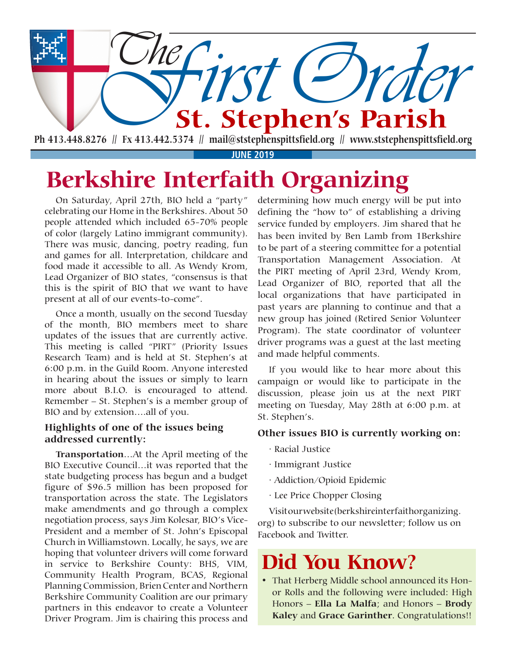

**JUNE 2019**

## **Berkshire Interfaith Organizing**

On Saturday, April 27th, BIO held a "party" celebrating our Home in the Berkshires. About 50 people attended which included 65-70% people of color (largely Latino immigrant community). There was music, dancing, poetry reading, fun and games for all. Interpretation, childcare and food made it accessible to all. As Wendy Krom, Lead Organizer of BIO states, "consensus is that this is the spirit of BIO that we want to have present at all of our events-to-come".

Once a month, usually on the second Tuesday of the month, BIO members meet to share updates of the issues that are currently active. This meeting is called "PIRT" (Priority Issues Research Team) and is held at St. Stephen's at 6:00 p.m. in the Guild Room. Anyone interested in hearing about the issues or simply to learn more about B.I.O. is encouraged to attend. Remember – St. Stephen's is a member group of BIO and by extension….all of you.

#### **Highlights of one of the issues being addressed currently:**

**Transportation**…At the April meeting of the BIO Executive Council…it was reported that the state budgeting process has begun and a budget figure of \$96.5 million has been proposed for transportation across the state. The Legislators make amendments and go through a complex negotiation process, says Jim Kolesar, BIO's Vice-President and a member of St. John's Episcopal Church in Williamstown. Locally, he says, we are hoping that volunteer drivers will come forward in service to Berkshire County: BHS, VIM, Community Health Program, BCAS, Regional Planning Commission, Brien Center and Northern Berkshire Community Coalition are our primary partners in this endeavor to create a Volunteer Driver Program. Jim is chairing this process and

determining how much energy will be put into defining the "how to" of establishing a driving service funded by employers. Jim shared that he has been invited by Ben Lamb from 1Berkshire to be part of a steering committee for a potential Transportation Management Association. At the PIRT meeting of April 23rd, Wendy Krom, Lead Organizer of BIO, reported that all the local organizations that have participated in past years are planning to continue and that a new group has joined (Retired Senior Volunteer Program). The state coordinator of volunteer driver programs was a guest at the last meeting and made helpful comments.

If you would like to hear more about this campaign or would like to participate in the discussion, please join us at the next PIRT meeting on Tuesday, May 28th at 6:00 p.m. at St. Stephen's.

#### **Other issues BIO is currently working on:**

- · Racial Justice
- · Immigrant Justice
- · Addiction/Opioid Epidemic
- · Lee Price Chopper Closing

Visit our website (berkshireinterfaithorganizing. org) to subscribe to our newsletter; follow us on Facebook and Twitter.

## **Did You Know?**

• That Herberg Middle school announced its Honor Rolls and the following were included: High Honors – **Ella La Malfa**; and Honors – **Brody Kaley** and **Grace Garinther**. Congratulations!!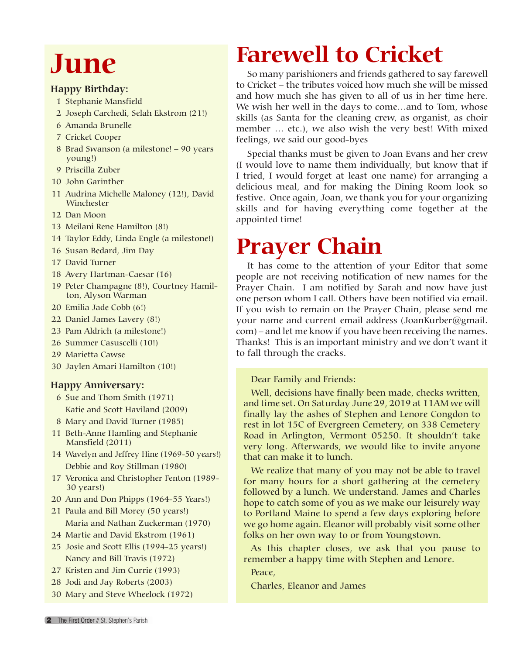# **June**

#### **Happy Birthday:**

- 1 Stephanie Mansfield
- 2 Joseph Carchedi, Selah Ekstrom (21!)
- 6 Amanda Brunelle
- 7 Cricket Cooper
- 8 Brad Swanson (a milestone! 90 years young!)
- 9 Priscilla Zuber
- 10 John Garinther
- 11 Audrina Michelle Maloney (12!), David Winchester
- 12 Dan Moon
- 13 Meilani Rene Hamilton (8!)
- 14 Taylor Eddy, Linda Engle (a milestone!)
- 16 Susan Bedard, Jim Day
- 17 David Turner
- 18 Avery Hartman-Caesar (16)
- 19 Peter Champagne (8!), Courtney Hamilton, Alyson Warman
- 20 Emilia Jade Cobb (6!)
- 22 Daniel James Lavery (8!)
- 23 Pam Aldrich (a milestone!)
- 26 Summer Casuscelli (10!)
- 29 Marietta Cawse
- 30 Jaylen Amari Hamilton (10!)

#### **Happy Anniversary:**

- 6 Sue and Thom Smith (1971) Katie and Scott Haviland (2009)
- 8 Mary and David Turner (1985)
- 11 Beth-Anne Hamling and Stephanie Mansfield (2011)
- 14 Wavelyn and Jeffrey Hine (1969-50 years!) Debbie and Roy Stillman (1980)
- 17 Veronica and Christopher Fenton (1989- 30 years!)
- 20 Ann and Don Phipps (1964-55 Years!)
- 21 Paula and Bill Morey (50 years!) Maria and Nathan Zuckerman (1970)
- 24 Martie and David Ekstrom (1961)
- 25 Josie and Scott Ellis (1994-25 years!) Nancy and Bill Travis (1972)
- 27 Kristen and Jim Currie (1993)
- 28 Jodi and Jay Roberts (2003)
- 30 Mary and Steve Wheelock (1972)

## **Farewell to Cricket**

So many parishioners and friends gathered to say farewell to Cricket – the tributes voiced how much she will be missed and how much she has given to all of us in her time here. We wish her well in the days to come…and to Tom, whose skills (as Santa for the cleaning crew, as organist, as choir member … etc.), we also wish the very best! With mixed feelings, we said our good-byes

Special thanks must be given to Joan Evans and her crew (I would love to name them individually, but know that if I tried, I would forget at least one name) for arranging a delicious meal, and for making the Dining Room look so festive. Once again, Joan, we thank you for your organizing skills and for having everything come together at the appointed time!

## **Prayer Chain**

It has come to the attention of your Editor that some people are not receiving notification of new names for the Prayer Chain. I am notified by Sarah and now have just one person whom I call. Others have been notified via email. If you wish to remain on the Prayer Chain, please send me your name and current email address (JoanKurber@gmail. com) – and let me know if you have been receiving the names. Thanks! This is an important ministry and we don't want it to fall through the cracks.

Dear Family and Friends:

Well, decisions have finally been made, checks written, and time set. On Saturday June 29, 2019 at 11AM we will finally lay the ashes of Stephen and Lenore Congdon to rest in lot 15C of Evergreen Cemetery, on 338 Cemetery Road in Arlington, Vermont 05250. It shouldn't take very long. Afterwards, we would like to invite anyone that can make it to lunch.

We realize that many of you may not be able to travel for many hours for a short gathering at the cemetery followed by a lunch. We understand. James and Charles hope to catch some of you as we make our leisurely way to Portland Maine to spend a few days exploring before we go home again. Eleanor will probably visit some other folks on her own way to or from Youngstown.

As this chapter closes, we ask that you pause to remember a happy time with Stephen and Lenore.

Peace,

Charles, Eleanor and James